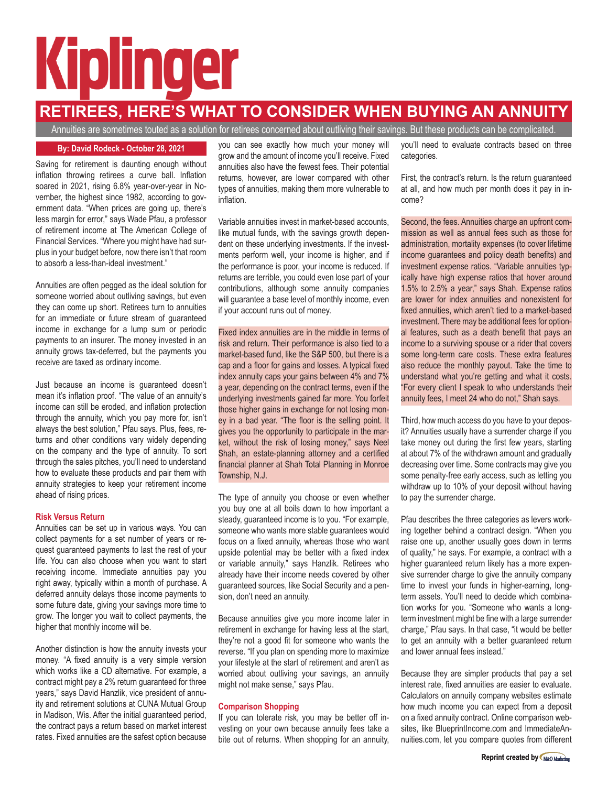# Kiplinger

## **RETIREES, HERE'S WHAT TO CONSIDER WHEN BUYING AN ANNUITY**

Annuities are sometimes touted as a solution for retirees concerned about outliving their savings. But these products can be complicated.

Saving for retirement is daunting enough without inflation throwing retirees a curve ball. Inflation soared in 2021, rising 6.8% year-over-year in November, the highest since 1982, according to government data. "When prices are going up, there's less margin for error," says Wade Pfau, a professor of retirement income at The American College of Financial Services. "Where you might have had surplus in your budget before, now there isn't that room to absorb a less-than-ideal investment."

Annuities are often pegged as the ideal solution for someone worried about outliving savings, but even they can come up short. Retirees turn to annuities for an immediate or future stream of guaranteed income in exchange for a lump sum or periodic payments to an insurer. The money invested in an annuity grows tax-deferred, but the payments you receive are taxed as ordinary income.

Just because an income is guaranteed doesn't mean it's inflation proof. "The value of an annuity's income can still be eroded, and inflation protection through the annuity, which you pay more for, isn't always the best solution," Pfau says. Plus, fees, returns and other conditions vary widely depending on the company and the type of annuity. To sort through the sales pitches, you'll need to understand how to evaluate these products and pair them with annuity strategies to keep your retirement income ahead of rising prices.

### **Risk Versus Return**

Annuities can be set up in various ways. You can collect payments for a set number of years or request guaranteed payments to last the rest of your life. You can also choose when you want to start receiving income. Immediate annuities pay you right away, typically within a month of purchase. A deferred annuity delays those income payments to some future date, giving your savings more time to grow. The longer you wait to collect payments, the higher that monthly income will be.

Another distinction is how the annuity invests your money. "A fixed annuity is a very simple version which works like a CD alternative. For example, a contract might pay a 2% return guaranteed for three years," says David Hanzlik, vice president of annuity and retirement solutions at CUNA Mutual Group in Madison, Wis. After the initial guaranteed period, the contract pays a return based on market interest rates. Fixed annuities are the safest option because

grow and the amount of income you'll receive. Fixed annuities also have the fewest fees. Their potential returns, however, are lower compared with other types of annuities, making them more vulnerable to inflation.

Variable annuities invest in market-based accounts, like mutual funds, with the savings growth dependent on these underlying investments. If the investments perform well, your income is higher, and if the performance is poor, your income is reduced. If returns are terrible, you could even lose part of your contributions, although some annuity companies will guarantee a base level of monthly income, even if your account runs out of money.

Fixed index annuities are in the middle in terms of risk and return. Their performance is also tied to a market-based fund, like the S&P 500, but there is a cap and a floor for gains and losses. A typical fixed index annuity caps your gains between 4% and 7% a year, depending on the contract terms, even if the underlying investments gained far more. You forfeit those higher gains in exchange for not losing money in a bad year. "The floor is the selling point. It gives you the opportunity to participate in the market, without the risk of losing money," says Neel Shah, an estate-planning attorney and a certified financial planner at Shah Total Planning in Monroe Township, N.J.

The type of annuity you choose or even whether you buy one at all boils down to how important a steady, guaranteed income is to you. "For example, someone who wants more stable guarantees would focus on a fixed annuity, whereas those who want upside potential may be better with a fixed index or variable annuity," says Hanzlik. Retirees who already have their income needs covered by other guaranteed sources, like Social Security and a pension, don't need an annuity.

Because annuities give you more income later in retirement in exchange for having less at the start, they're not a good fit for someone who wants the reverse. "If you plan on spending more to maximize your lifestyle at the start of retirement and aren't as worried about outliving your savings, an annuity might not make sense," says Pfau.

### **Comparison Shopping**

If you can tolerate risk, you may be better off investing on your own because annuity fees take a bite out of returns. When shopping for an annuity,

By: David Rodeck - October 28, 2021 **by:** you can see exactly how much your money will you'll need to evaluate contracts based on three categories.

> First, the contract's return. Is the return guaranteed at all, and how much per month does it pay in income?

> Second, the fees. Annuities charge an upfront commission as well as annual fees such as those for administration, mortality expenses (to cover lifetime income guarantees and policy death benefits) and investment expense ratios. "Variable annuities typically have high expense ratios that hover around 1.5% to 2.5% a year," says Shah. Expense ratios are lower for index annuities and nonexistent for fixed annuities, which aren't tied to a market-based investment. There may be additional fees for optional features, such as a death benefit that pays an income to a surviving spouse or a rider that covers some long-term care costs. These extra features also reduce the monthly payout. Take the time to understand what you're getting and what it costs. "For every client I speak to who understands their annuity fees, I meet 24 who do not," Shah says.

> Third, how much access do you have to your deposit? Annuities usually have a surrender charge if you take money out during the first few years, starting at about 7% of the withdrawn amount and gradually decreasing over time. Some contracts may give you some penalty-free early access, such as letting you withdraw up to 10% of your deposit without having to pay the surrender charge.

> Pfau describes the three categories as levers working together behind a contract design. "When you raise one up, another usually goes down in terms of quality," he says. For example, a contract with a higher guaranteed return likely has a more expensive surrender charge to give the annuity company time to invest your funds in higher-earning, longterm assets. You'll need to decide which combination works for you. "Someone who wants a longterm investment might be fine with a large surrender charge," Pfau says. In that case, "it would be better to get an annuity with a better guaranteed return and lower annual fees instead."

> Because they are simpler products that pay a set interest rate, fixed annuities are easier to evaluate. Calculators on annuity company websites estimate how much income you can expect from a deposit on a fixed annuity contract. Online comparison websites, like BlueprintIncome.com and ImmediateAnnuities.com, let you compare quotes from different